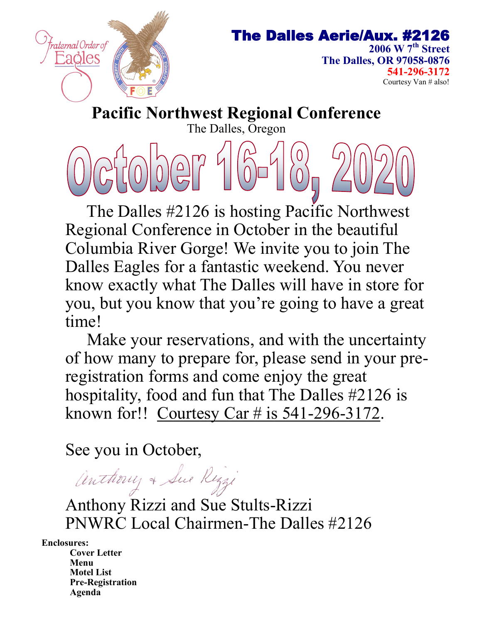

### The Dalles Aerie/Aux. #2126

**2006 W 7th Street The Dalles, OR 97058-0876 541-296-3172** Courtesy Van # also!

**Pacific Northwest Regional Conference** The Dalles, Oregon

 The Dalles #2126 is hosting Pacific Northwest Regional Conference in October in the beautiful Columbia River Gorge! We invite you to join The Dalles Eagles for a fantastic weekend. You never know exactly what The Dalles will have in store for you, but you know that you're going to have a great time!

 Make your reservations, and with the uncertainty of how many to prepare for, please send in your preregistration forms and come enjoy the great hospitality, food and fun that The Dalles #2126 is known for!! Courtesy Car # is 541-296-3172.

See you in October,

Anthony & Sue Rizzi

Anthony Rizzi and Sue Stults-Rizzi PNWRC Local Chairmen-The Dalles #2126

**Enclosures:**

**Cover Letter Menu Motel List Pre-Registration Agenda**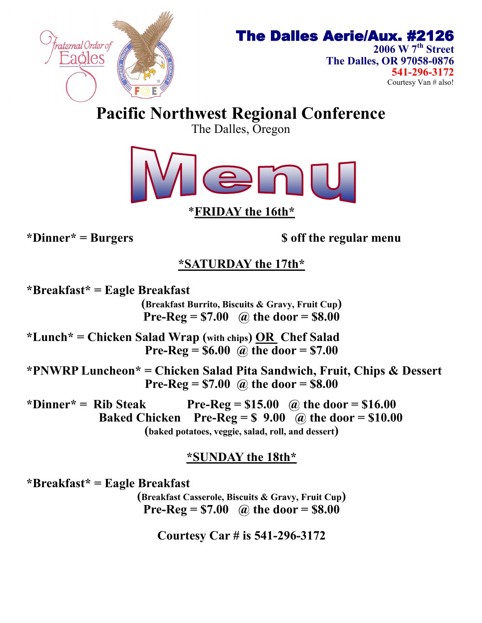

### The Dalles Aerie/Aux. #2126

**2006 W 7th Street The Dalles, OR 97058-0876 541-296-3172** Courtesy Van # also!

**Pacific Northwest Regional Conference**

The Dalles, Oregon



\***FRIDAY the 16th\***

**\*Dinner\* = Burgers \$ off the regular menu**

### **\*SATURDAY the 17th\***

**\*Breakfast\* = Eagle Breakfast (Breakfast Burrito, Biscuits & Gravy, Fruit Cup) Pre-Reg = \$7.00 @ the door = \$8.00 \*Lunch\* = Chicken Salad Wrap (with chips) OR Chef Salad**

**Pre-Reg = \$6.00 @ the door = \$7.00**

**\*PNWRP Luncheon\* = Chicken Salad Pita Sandwich, Fruit, Chips & Dessert Pre-Reg = \$7.00 @ the door = \$8.00**

\*Dinner\* = Rib Steak Pre- $\text{Re} \mathbf{g} = $15.00$  @ the door = \$16.00 **Baked Chicken** Pre- $Reg = $ 9.00$  @ the door = \$10.00 **(baked potatoes, veggie, salad, roll, and dessert)**

### **\*SUNDAY the 18th\***

**\*Breakfast\* = Eagle Breakfast** 

**(Breakfast Casserole, Biscuits & Gravy, Fruit Cup) Pre-Reg = \$7.00 @ the door = \$8.00**

**Courtesy Car # is 541-296-3172**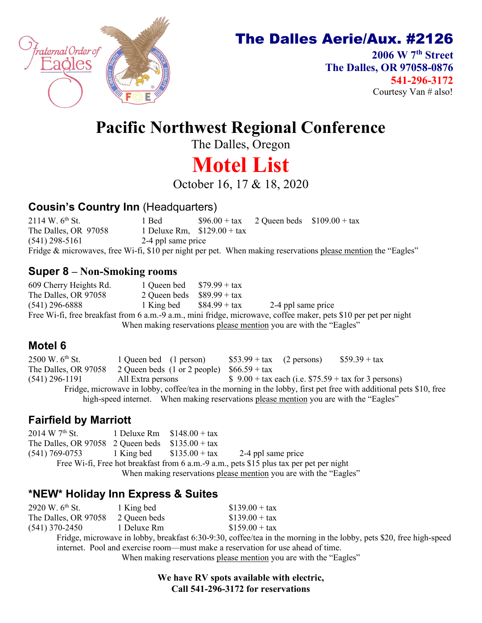

### The Dalles Aerie/Aux. #2126

**2006 W 7th Street The Dalles, OR 97058-0876 541-296-3172** Courtesy Van # also!

## **Pacific Northwest Regional Conference**

The Dalles, Oregon

# **Motel List**

October 16, 17 & 18, 2020

#### **Cousin's Country Inn** (Headquarters)

2114 W.  $6^{th}$  St. 1 Bed  $$96.00 + tax$  2 Queen beds  $$109.00 + tax$ The Dalles, OR  $97058$  1 Deluxe Rm,  $$129.00 + tax$ (541) 298-5161 2-4 ppl same price Fridge & microwaves, free Wi-fi, \$10 per night per pet. When making reservations please mention the "Eagles"

#### **Super 8 – Non-Smoking rooms**

609 Cherry Heights Rd.  $1$  Queen bed  $$79.99 + tax$ The Dalles, OR 97058 2 Queen beds  $$89.99 + tax$ (541) 296-6888 1 King bed \$84.99 + tax 2-4 ppl same price Free Wi-fi, free breakfast from 6 a.m.-9 a.m., mini fridge, microwave, coffee maker, pets \$10 per pet per night When making reservations please mention you are with the "Eagles"

#### **Motel 6**

2500 W.  $6^{th}$  St. 1 Queen bed (1 person)  $$53.99 + tax$  (2 persons)  $$59.39 + tax$ The Dalles, OR 97058 2 Queen beds  $(1 \text{ or } 2 \text{ people})$  \$66.59 + tax  $(541)$  296-1191 All Extra persons  $$ 9.00 + tax each (i.e. $75.59 + tax for 3 persons)$ Fridge, microwave in lobby, coffee/tea in the morning in the lobby, first pet free with additional pets \$10, free high-speed internet. When making reservations please mention you are with the "Eagles"

#### **Fairfield by Marriott**

2014 W  $7^{\text{th}}$  St. 1 Deluxe Rm  $$148.00 + tax$ The Dalles, OR 97058 2 Queen beds  $$135.00 + tax$  $(541) 769-0753$  1 King bed  $$135.00 + tax$  2-4 ppl same price Free Wi-fi, Free hot breakfast from 6 a.m.-9 a.m., pets \$15 plus tax per pet per night When making reservations please mention you are with the "Eagles"

### **\*NEW\* Holiday Inn Express & Suites**

| 2920 W. $6^{\text{th}}$ St. | 1 King bed   | $$139.00 + tax$ |
|-----------------------------|--------------|-----------------|
| The Dalles, OR 97058        | 2 Queen beds | $$139.00 + tax$ |
| $(541)$ 370-2450            | 1 Deluxe Rm  | $$159.00 + tax$ |

Fridge, microwave in lobby, breakfast 6:30-9:30, coffee/tea in the morning in the lobby, pets \$20, free high-speed internet. Pool and exercise room—must make a reservation for use ahead of time.

When making reservations please mention you are with the "Eagles"

**We have RV spots available with electric, Call 541-296-3172 for reservations**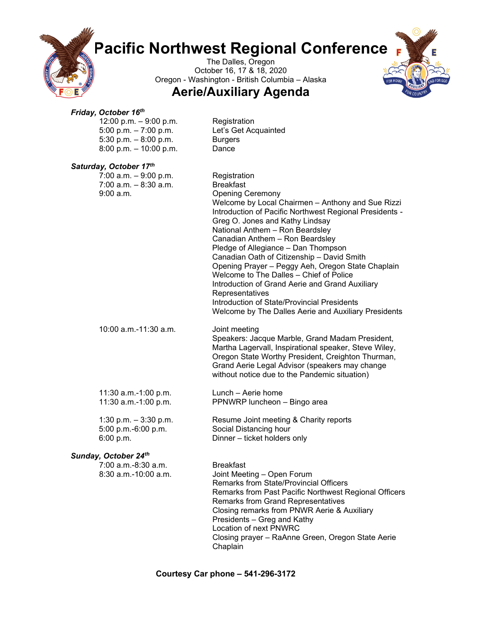## **Pacific Northwest Regional Conference**

The Dalles, Oregon October 16, 17 & 18, 2020 Oregon - Washington - British Columbia – Alaska

#### **Aerie/Auxiliary Agenda**

#### *Friday, October 16th*

| Friday, October 16th<br>12:00 p.m. $-9:00$ p.m.<br>5:00 p.m. $-7:00$ p.m.<br>5:30 p.m. $-8:00$ p.m.<br>8:00 p.m. $-$ 10:00 p.m. | Registration<br>Let's Get Acquainted<br><b>Burgers</b><br>Dance                                                                                                                                                                                                                                                                                                                                                                                                                                                                                                                                                                                        |
|---------------------------------------------------------------------------------------------------------------------------------|--------------------------------------------------------------------------------------------------------------------------------------------------------------------------------------------------------------------------------------------------------------------------------------------------------------------------------------------------------------------------------------------------------------------------------------------------------------------------------------------------------------------------------------------------------------------------------------------------------------------------------------------------------|
| Saturday, October 17th<br>$7:00$ a.m. $-9:00$ p.m.<br>$7:00$ a.m. $-8:30$ a.m.<br>9:00 a.m.                                     | Registration<br><b>Breakfast</b><br><b>Opening Ceremony</b><br>Welcome by Local Chairmen - Anthony and Sue Rizzi<br>Introduction of Pacific Northwest Regional Presidents -<br>Greg O. Jones and Kathy Lindsay<br>National Anthem - Ron Beardsley<br>Canadian Anthem - Ron Beardsley<br>Pledge of Allegiance - Dan Thompson<br>Canadian Oath of Citizenship - David Smith<br>Opening Prayer - Peggy Aeh, Oregon State Chaplain<br>Welcome to The Dalles - Chief of Police<br>Introduction of Grand Aerie and Grand Auxiliary<br>Representatives<br>Introduction of State/Provincial Presidents<br>Welcome by The Dalles Aerie and Auxiliary Presidents |
| 10:00 a.m.-11:30 a.m.                                                                                                           | Joint meeting<br>Speakers: Jacque Marble, Grand Madam President,<br>Martha Lagervall, Inspirational speaker, Steve Wiley,<br>Oregon State Worthy President, Creighton Thurman,<br>Grand Aerie Legal Advisor (speakers may change<br>without notice due to the Pandemic situation)                                                                                                                                                                                                                                                                                                                                                                      |
| 11:30 a.m.-1:00 p.m.<br>11:30 a.m.-1:00 p.m.                                                                                    | Lunch – Aerie home<br>PPNWRP luncheon - Bingo area                                                                                                                                                                                                                                                                                                                                                                                                                                                                                                                                                                                                     |
| 1:30 p.m. $-3:30$ p.m.<br>5:00 p.m.-6:00 p.m.<br>6:00 p.m.                                                                      | Resume Joint meeting & Charity reports<br>Social Distancing hour<br>Dinner - ticket holders only                                                                                                                                                                                                                                                                                                                                                                                                                                                                                                                                                       |

#### *Sunday, October 24th*

| 7:00 a.m.-8:30 a.m.  | <b>Breakfast</b>                                      |
|----------------------|-------------------------------------------------------|
| 8:30 a.m.-10:00 a.m. | Joint Meeting - Open Forum                            |
|                      | Remarks from State/Provincial Officers                |
|                      | Remarks from Past Pacific Northwest Regional Officers |
|                      | <b>Remarks from Grand Representatives</b>             |
|                      | Closing remarks from PNWR Aerie & Auxiliary           |
|                      | Presidents - Greg and Kathy                           |
|                      | Location of next PNWRC                                |
|                      | Closing prayer - RaAnne Green, Oregon State Aerie     |
|                      | Chaplain                                              |
|                      |                                                       |